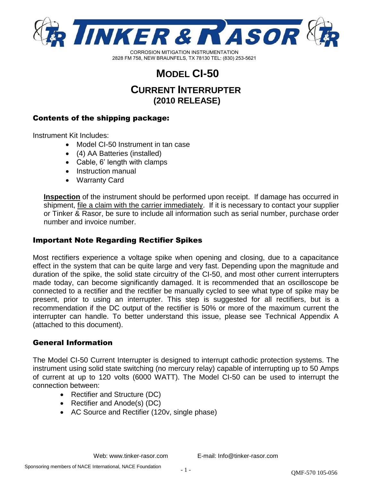

# **MODEL CI-50**

## **CURRENT INTERRUPTER (2010 RELEASE)**

## Contents of the shipping package:

Instrument Kit Includes:

- Model CI-50 Instrument in tan case
- (4) AA Batteries (installed)
- Cable, 6' length with clamps
- Instruction manual
- Warranty Card

**Inspection** of the instrument should be performed upon receipt. If damage has occurred in shipment, file a claim with the carrier immediately. If it is necessary to contact your supplier or Tinker & Rasor, be sure to include all information such as serial number, purchase order number and invoice number.

## Important Note Regarding Rectifier Spikes

Most rectifiers experience a voltage spike when opening and closing, due to a capacitance effect in the system that can be quite large and very fast. Depending upon the magnitude and duration of the spike, the solid state circuitry of the CI-50, and most other current interrupters made today, can become significantly damaged. It is recommended that an oscilloscope be connected to a rectifier and the rectifier be manually cycled to see what type of spike may be present, prior to using an interrupter. This step is suggested for all rectifiers, but is a recommendation if the DC output of the rectifier is 50% or more of the maximum current the interrupter can handle. To better understand this issue, please see Technical Appendix A (attached to this document).

#### General Information

The Model CI-50 Current Interrupter is designed to interrupt cathodic protection systems. The instrument using solid state switching (no mercury relay) capable of interrupting up to 50 Amps of current at up to 120 volts (6000 WATT). The Model CI-50 can be used to interrupt the connection between:

- Rectifier and Structure (DC)
- Rectifier and Anode(s) (DC)
- AC Source and Rectifier (120v, single phase)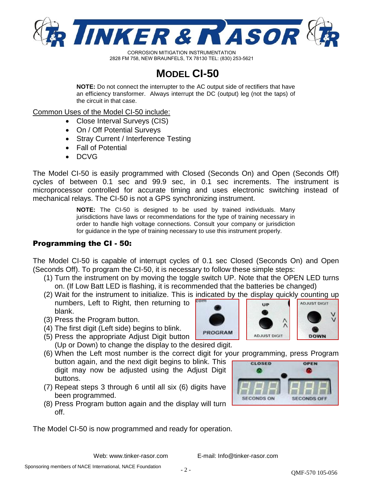

# **MODEL CI-50**

**NOTE:** Do not connect the interrupter to the AC output side of rectifiers that have an efficiency transformer. Always interrupt the DC (output) leg (not the taps) of the circuit in that case.

Common Uses of the Model CI-50 include:

- Close Interval Surveys (CIS)
- On / Off Potential Surveys
- Stray Current / Interference Testing
- Fall of Potential
- DCVG

The Model CI-50 is easily programmed with Closed (Seconds On) and Open (Seconds Off) cycles of between 0.1 sec and 99.9 sec, in 0.1 sec increments. The instrument is microprocessor controlled for accurate timing and uses electronic switching instead of mechanical relays. The CI-50 is not a GPS synchronizing instrument.

> **NOTE:** The CI-50 is designed to be used by trained individuals. Many jurisdictions have laws or recommendations for the type of training necessary in order to handle high voltage connections. Consult your company or jurisdiction for guidance in the type of training necessary to use this instrument properly.

## Programming the CI - 50:

The Model CI-50 is capable of interrupt cycles of 0.1 sec Closed (Seconds On) and Open (Seconds Off). To program the CI-50, it is necessary to follow these simple steps:

- (1) Turn the instrument on by moving the toggle switch UP. Note that the OPEN LED turns on. (If Low Batt LED is flashing, it is recommended that the batteries be changed)
- (2) Wait for the instrument to initialize. This is indicated by the display quickly counting up numbers, Left to Right, then returning to blank.
- (3) Press the Program button.
- (4) The first digit (Left side) begins to blink.
- (5) Press the appropriate Adjust Digit button (Up or Down) to change the display to the desired digit.
- (6) When the Left most number is the correct digit for your programming, press Program button again, and the next digit begins to blink. This digit may now be adjusted using the Adjust Digit buttons.
- (7) Repeat steps 3 through 6 until all six (6) digits have been programmed.
- (8) Press Program button again and the display will turn off.

The Model CI-50 is now programmed and ready for operation.





Web: www.tinker-rasor.com E-mail: Info@tinker-rasor.com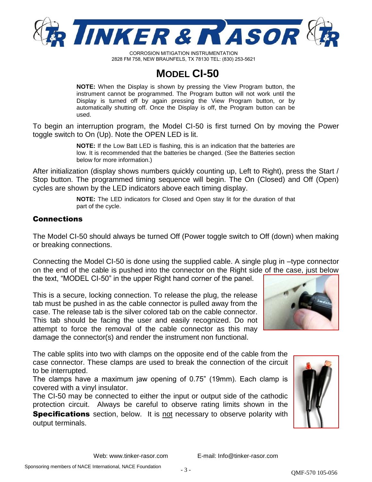

## **MODEL CI-50**

**NOTE:** When the Display is shown by pressing the View Program button, the instrument cannot be programmed. The Program button will not work until the Display is turned off by again pressing the View Program button, or by automatically shutting off. Once the Display is off, the Program button can be used.

To begin an interruption program, the Model CI-50 is first turned On by moving the Power toggle switch to On (Up). Note the OPEN LED is lit.

> **NOTE:** If the Low Batt LED is flashing, this is an indication that the batteries are low. It is recommended that the batteries be changed. (See the Batteries section below for more information.)

After initialization (display shows numbers quickly counting up, Left to Right), press the Start / Stop button. The programmed timing sequence will begin. The On (Closed) and Off (Open) cycles are shown by the LED indicators above each timing display.

> **NOTE:** The LED indicators for Closed and Open stay lit for the duration of that part of the cycle.

#### Connections

The Model CI-50 should always be turned Off (Power toggle switch to Off (down) when making or breaking connections.

Connecting the Model CI-50 is done using the supplied cable. A single plug in –type connector on the end of the cable is pushed into the connector on the Right side of the case, just below the text, "MODEL CI-50" in the upper Right hand corner of the panel.

This is a secure, locking connection. To release the plug, the release tab must be pushed in as the cable connector is pulled away from the case. The release tab is the silver colored tab on the cable connector. This tab should be facing the user and easily recognized. Do not attempt to force the removal of the cable connector as this may damage the connector(s) and render the instrument non functional.

The cable splits into two with clamps on the opposite end of the cable from the case connector. These clamps are used to break the connection of the circuit to be interrupted.

The clamps have a maximum jaw opening of 0.75" (19mm). Each clamp is covered with a vinyl insulator.

The CI-50 may be connected to either the input or output side of the cathodic protection circuit. Always be careful to observe rating limits shown in the **Specifications** section, below. It is not necessary to observe polarity with output terminals.



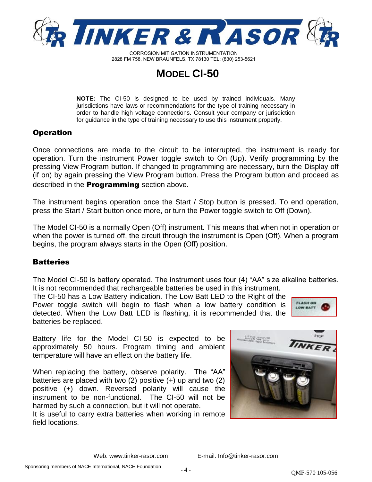

## **MODEL CI-50**

**NOTE:** The CI-50 is designed to be used by trained individuals. Many jurisdictions have laws or recommendations for the type of training necessary in order to handle high voltage connections. Consult your company or jurisdiction for guidance in the type of training necessary to use this instrument properly.

#### Operation

Once connections are made to the circuit to be interrupted, the instrument is ready for operation. Turn the instrument Power toggle switch to On (Up). Verify programming by the pressing View Program button. If changed to programming are necessary, turn the Display off (if on) by again pressing the View Program button. Press the Program button and proceed as described in the **Programming** section above.

The instrument begins operation once the Start / Stop button is pressed. To end operation, press the Start / Start button once more, or turn the Power toggle switch to Off (Down).

The Model CI-50 is a normally Open (Off) instrument. This means that when not in operation or when the power is turned off, the circuit through the instrument is Open (Off). When a program begins, the program always starts in the Open (Off) position.

#### **Batteries**

The Model CI-50 is battery operated. The instrument uses four (4) "AA" size alkaline batteries. It is not recommended that rechargeable batteries be used in this instrument.

The CI-50 has a Low Battery indication. The Low Batt LED to the Right of the Power toggle switch will begin to flash when a low battery condition is detected. When the Low Batt LED is flashing, it is recommended that the batteries be replaced.



Battery life for the Model CI-50 is expected to be approximately 50 hours. Program timing and ambient temperature will have an effect on the battery life.

When replacing the battery, observe polarity. The "AA" batteries are placed with two (2) positive (+) up and two (2) positive (+) down. Reversed polarity will cause the instrument to be non-functional. The CI-50 will not be harmed by such a connection, but it will not operate.

It is useful to carry extra batteries when working in remote field locations.

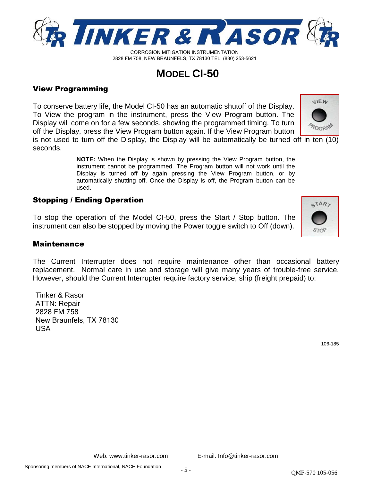

Web: www.tinker-rasor.com E-mail: Info@tinker-rasor.com

## QMF-570 105-056

# **MODEL CI-50**

2828 FM 758, NEW BRAUNFELS, TX 78130 TEL: (830) 253-5621

## View Programming

To conserve battery life, the Model CI-50 has an automatic shutoff of the Display. To View the program in the instrument, press the View Program button. The Display will come on for a few seconds, showing the programmed timing. To turn off the Display, press the View Program button again. If the View Program button

is not used to turn off the Display, the Display will be automatically be turned off in ten (10) seconds.

> **NOTE:** When the Display is shown by pressing the View Program button, the instrument cannot be programmed. The Program button will not work until the Display is turned off by again pressing the View Program button, or by automatically shutting off. Once the Display is off, the Program button can be used.

## Stopping / Ending Operation

To stop the operation of the Model CI-50, press the Start / Stop button. The instrument can also be stopped by moving the Power toggle switch to Off (down).

#### Maintenance

The Current Interrupter does not require maintenance other than occasional battery replacement. Normal care in use and storage will give many years of trouble-free service. However, should the Current Interrupter require factory service, ship (freight prepaid) to:

Tinker & Rasor ATTN: Repair 2828 FM 758 New Braunfels, TX 78130 USA

106-185





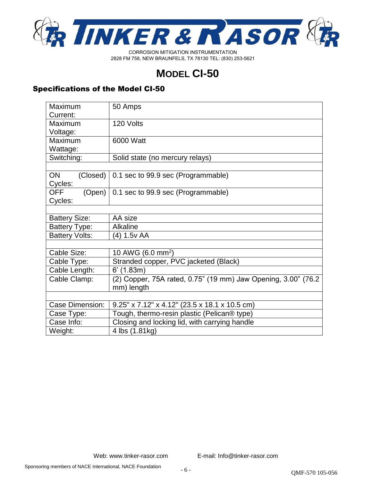

# **MODEL CI-50**

## Specifications of the Model CI-50

| Maximum               | 50 Amps                                                        |
|-----------------------|----------------------------------------------------------------|
| Current:              |                                                                |
| Maximum               | 120 Volts                                                      |
| Voltage:              |                                                                |
| Maximum               | 6000 Watt                                                      |
| Wattage:              |                                                                |
| Switching:            | Solid state (no mercury relays)                                |
|                       |                                                                |
| <b>ON</b><br>(Closed) | 0.1 sec to 99.9 sec (Programmable)                             |
| Cycles:               |                                                                |
| <b>OFF</b><br>(Open)  | 0.1 sec to 99.9 sec (Programmable)                             |
| Cycles:               |                                                                |
|                       |                                                                |
| <b>Battery Size:</b>  | AA size                                                        |
| <b>Battery Type:</b>  | <b>Alkaline</b>                                                |
| <b>Battery Volts:</b> | (4) 1.5v AA                                                    |
|                       |                                                                |
| Cable Size:           | 10 AWG (6.0 mm <sup>2</sup> )                                  |
| Cable Type:           | Stranded copper, PVC jacketed (Black)                          |
| Cable Length:         | $6'$ (1.83m)                                                   |
| Cable Clamp:          | (2) Copper, 75A rated, 0.75" (19 mm) Jaw Opening, 3.00" (76.2) |
|                       | mm) length                                                     |
|                       |                                                                |
| Case Dimension:       | 9.25" x 7.12" x 4.12" (23.5 x 18.1 x 10.5 cm)                  |
| Case Type:            | Tough, thermo-resin plastic (Pelican® type)                    |
| Case Info:            | Closing and locking lid, with carrying handle                  |
| Weight:               | 4 lbs (1.81kg)                                                 |